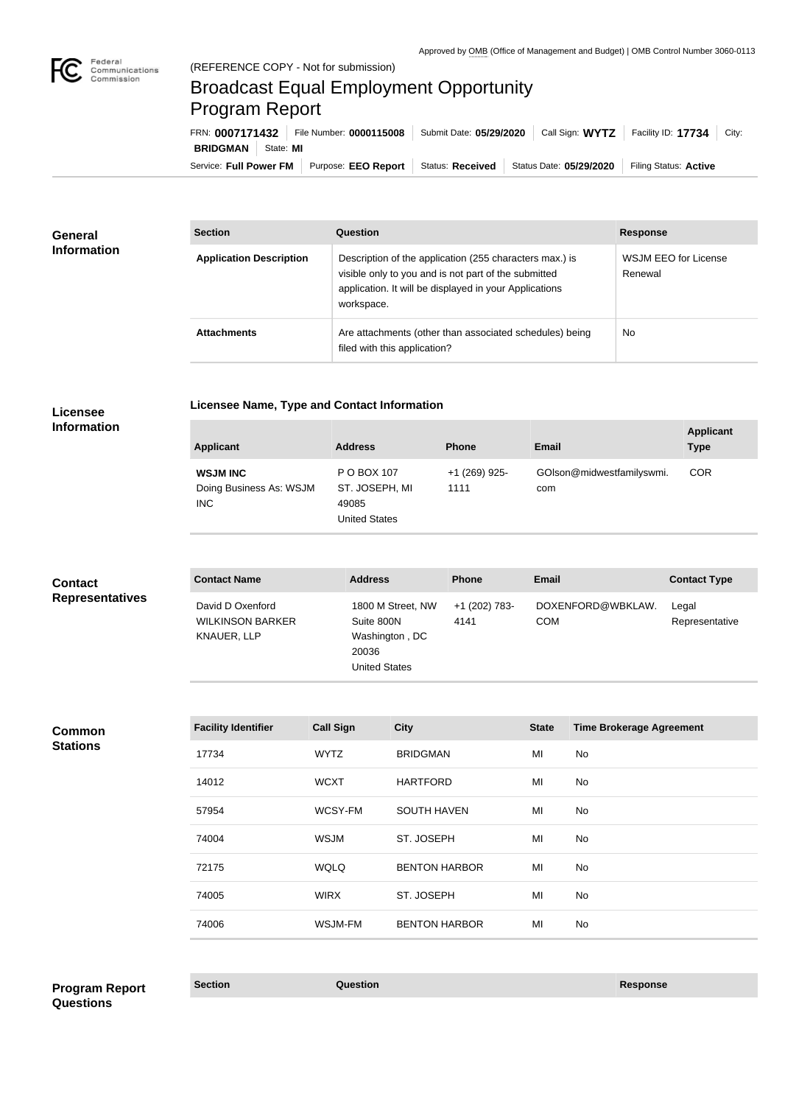

## Broadcast Equal Employment Opportunity Program Report

Service: Full Power FM | Purpose: EEO Report | Status: Received | Status Date: 05/29/2020 | Filing Status: Active **BRIDGMAN** State: **MI** FRN: **0007171432** File Number: **0000115008** Submit Date: **05/29/2020** Call Sign: **WYTZ** Facility ID: **17734** City:

| <b>General</b><br><b>Information</b> | <b>Section</b>                 | Question                                                                                                                                                                                | <b>Response</b>                 |
|--------------------------------------|--------------------------------|-----------------------------------------------------------------------------------------------------------------------------------------------------------------------------------------|---------------------------------|
|                                      | <b>Application Description</b> | Description of the application (255 characters max.) is<br>visible only to you and is not part of the submitted<br>application. It will be displayed in your Applications<br>workspace. | WSJM EEO for License<br>Renewal |
|                                      | <b>Attachments</b>             | Are attachments (other than associated schedules) being<br>filed with this application?                                                                                                 | No                              |

# **Licensee**

### **Licensee Name, Type and Contact Information**

**Information**

| <b>Applicant</b>                                   | <b>Address</b>                                                 | <b>Phone</b>          | <b>Email</b>                     | <b>Applicant</b><br><b>Type</b> |
|----------------------------------------------------|----------------------------------------------------------------|-----------------------|----------------------------------|---------------------------------|
| <b>WSJM INC</b><br>Doing Business As: WSJM<br>INC. | P O BOX 107<br>ST. JOSEPH, MI<br>49085<br><b>United States</b> | +1 (269) 925-<br>1111 | GOIson@midwestfamilyswmi.<br>com | <b>COR</b>                      |

| <b>Contact</b>         | <b>Contact Name</b>                                        | <b>Address</b>                                                                     | <b>Phone</b>          | Email                           | <b>Contact Type</b>     |
|------------------------|------------------------------------------------------------|------------------------------------------------------------------------------------|-----------------------|---------------------------------|-------------------------|
| <b>Representatives</b> | David D Oxenford<br><b>WILKINSON BARKER</b><br>KNAUER, LLP | 1800 M Street, NW<br>Suite 800N<br>Washington, DC<br>20036<br><b>United States</b> | +1 (202) 783-<br>4141 | DOXENFORD@WBKLAW.<br><b>COM</b> | Legal<br>Representative |

#### **Common Stations**

| <b>Facility Identifier</b> | <b>Call Sign</b> | <b>City</b>          | <b>State</b> | <b>Time Brokerage Agreement</b> |
|----------------------------|------------------|----------------------|--------------|---------------------------------|
| 17734                      | <b>WYTZ</b>      | <b>BRIDGMAN</b>      | MI           | No                              |
| 14012                      | <b>WCXT</b>      | <b>HARTFORD</b>      | MI           | No                              |
| 57954                      | WCSY-FM          | <b>SOUTH HAVEN</b>   | MI           | No                              |
| 74004                      | <b>WSJM</b>      | ST. JOSEPH           | MI           | No                              |
| 72175                      | <b>WQLQ</b>      | <b>BENTON HARBOR</b> | MI           | No                              |
| 74005                      | <b>WIRX</b>      | ST. JOSEPH           | MI           | No                              |
| 74006                      | WSJM-FM          | <b>BENTON HARBOR</b> | MI           | No                              |

**Section Question Response Program Report Questions**